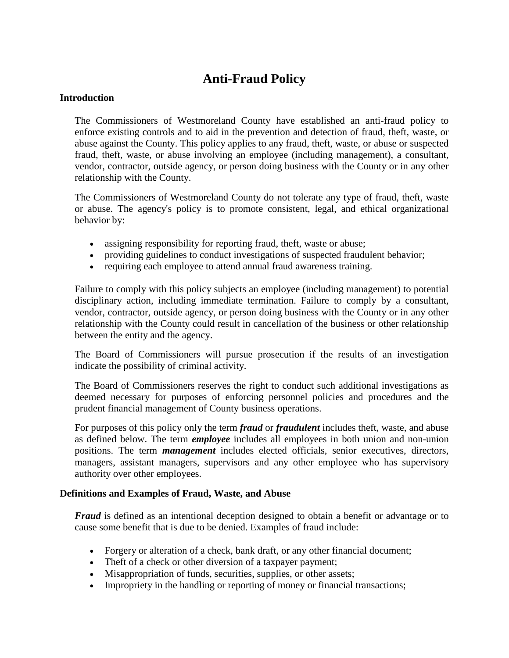# **Anti-Fraud Policy**

## **Introduction**

The Commissioners of Westmoreland County have established an anti-fraud policy to enforce existing controls and to aid in the prevention and detection of fraud, theft, waste, or abuse against the County. This policy applies to any fraud, theft, waste, or abuse or suspected fraud, theft, waste, or abuse involving an employee (including management), a consultant, vendor, contractor, outside agency, or person doing business with the County or in any other relationship with the County.

The Commissioners of Westmoreland County do not tolerate any type of fraud, theft, waste or abuse. The agency's policy is to promote consistent, legal, and ethical organizational behavior by:

- assigning responsibility for reporting fraud, theft, waste or abuse;
- providing guidelines to conduct investigations of suspected fraudulent behavior;
- requiring each employee to attend annual fraud awareness training.

Failure to comply with this policy subjects an employee (including management) to potential disciplinary action, including immediate termination. Failure to comply by a consultant, vendor, contractor, outside agency, or person doing business with the County or in any other relationship with the County could result in cancellation of the business or other relationship between the entity and the agency.

The Board of Commissioners will pursue prosecution if the results of an investigation indicate the possibility of criminal activity.

The Board of Commissioners reserves the right to conduct such additional investigations as deemed necessary for purposes of enforcing personnel policies and procedures and the prudent financial management of County business operations.

For purposes of this policy only the term *fraud* or *fraudulent* includes theft, waste, and abuse as defined below. The term *employee* includes all employees in both union and non-union positions. The term *management* includes elected officials, senior executives, directors, managers, assistant managers, supervisors and any other employee who has supervisory authority over other employees.

## **Definitions and Examples of Fraud, Waste, and Abuse**

*Fraud* is defined as an intentional deception designed to obtain a benefit or advantage or to cause some benefit that is due to be denied. Examples of fraud include:

- Forgery or alteration of a check, bank draft, or any other financial document;
- Theft of a check or other diversion of a taxpayer payment;
- Misappropriation of funds, securities, supplies, or other assets;
- Impropriety in the handling or reporting of money or financial transactions;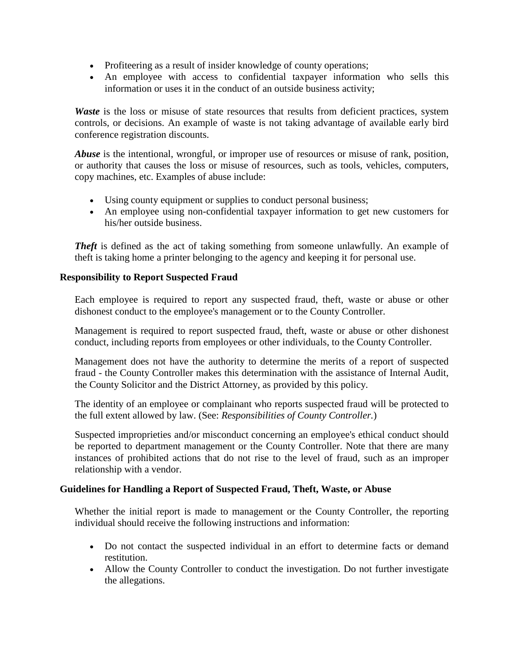- Profiteering as a result of insider knowledge of county operations;
- An employee with access to confidential taxpayer information who sells this information or uses it in the conduct of an outside business activity;

*Waste* is the loss or misuse of state resources that results from deficient practices, system controls, or decisions. An example of waste is not taking advantage of available early bird conference registration discounts.

*Abuse* is the intentional, wrongful, or improper use of resources or misuse of rank, position, or authority that causes the loss or misuse of resources, such as tools, vehicles, computers, copy machines, etc. Examples of abuse include:

- Using county equipment or supplies to conduct personal business;
- An employee using non-confidential taxpayer information to get new customers for his/her outside business.

*Theft* is defined as the act of taking something from someone unlawfully. An example of theft is taking home a printer belonging to the agency and keeping it for personal use.

## **Responsibility to Report Suspected Fraud**

Each employee is required to report any suspected fraud, theft, waste or abuse or other dishonest conduct to the employee's management or to the County Controller.

Management is required to report suspected fraud, theft, waste or abuse or other dishonest conduct, including reports from employees or other individuals, to the County Controller.

Management does not have the authority to determine the merits of a report of suspected fraud - the County Controller makes this determination with the assistance of Internal Audit, the County Solicitor and the District Attorney, as provided by this policy.

The identity of an employee or complainant who reports suspected fraud will be protected to the full extent allowed by law. (See: *Responsibilities of County Controller.*)

Suspected improprieties and/or misconduct concerning an employee's ethical conduct should be reported to department management or the County Controller. Note that there are many instances of prohibited actions that do not rise to the level of fraud, such as an improper relationship with a vendor.

## **Guidelines for Handling a Report of Suspected Fraud, Theft, Waste, or Abuse**

Whether the initial report is made to management or the County Controller, the reporting individual should receive the following instructions and information:

- Do not contact the suspected individual in an effort to determine facts or demand restitution.
- Allow the County Controller to conduct the investigation. Do not further investigate the allegations.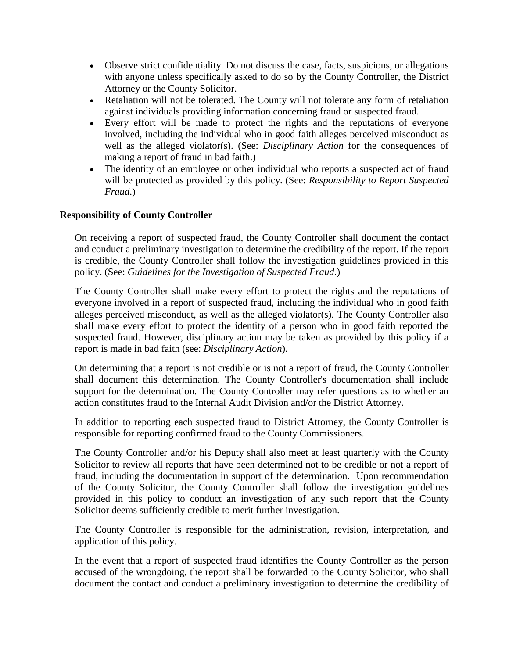- Observe strict confidentiality. Do not discuss the case, facts, suspicions, or allegations with anyone unless specifically asked to do so by the County Controller, the District Attorney or the County Solicitor.
- Retaliation will not be tolerated. The County will not tolerate any form of retaliation against individuals providing information concerning fraud or suspected fraud.
- Every effort will be made to protect the rights and the reputations of everyone involved, including the individual who in good faith alleges perceived misconduct as well as the alleged violator(s). (See: *Disciplinary Action* for the consequences of making a report of fraud in bad faith.)
- The identity of an employee or other individual who reports a suspected act of fraud will be protected as provided by this policy. (See: *Responsibility to Report Suspected Fraud*.)

## **Responsibility of County Controller**

On receiving a report of suspected fraud, the County Controller shall document the contact and conduct a preliminary investigation to determine the credibility of the report. If the report is credible, the County Controller shall follow the investigation guidelines provided in this policy. (See: *Guidelines for the Investigation of Suspected Fraud*.)

The County Controller shall make every effort to protect the rights and the reputations of everyone involved in a report of suspected fraud, including the individual who in good faith alleges perceived misconduct, as well as the alleged violator(s). The County Controller also shall make every effort to protect the identity of a person who in good faith reported the suspected fraud. However, disciplinary action may be taken as provided by this policy if a report is made in bad faith (see: *Disciplinary Action*).

On determining that a report is not credible or is not a report of fraud, the County Controller shall document this determination. The County Controller's documentation shall include support for the determination. The County Controller may refer questions as to whether an action constitutes fraud to the Internal Audit Division and/or the District Attorney.

In addition to reporting each suspected fraud to District Attorney, the County Controller is responsible for reporting confirmed fraud to the County Commissioners.

The County Controller and/or his Deputy shall also meet at least quarterly with the County Solicitor to review all reports that have been determined not to be credible or not a report of fraud, including the documentation in support of the determination. Upon recommendation of the County Solicitor, the County Controller shall follow the investigation guidelines provided in this policy to conduct an investigation of any such report that the County Solicitor deems sufficiently credible to merit further investigation.

The County Controller is responsible for the administration, revision, interpretation, and application of this policy.

In the event that a report of suspected fraud identifies the County Controller as the person accused of the wrongdoing, the report shall be forwarded to the County Solicitor, who shall document the contact and conduct a preliminary investigation to determine the credibility of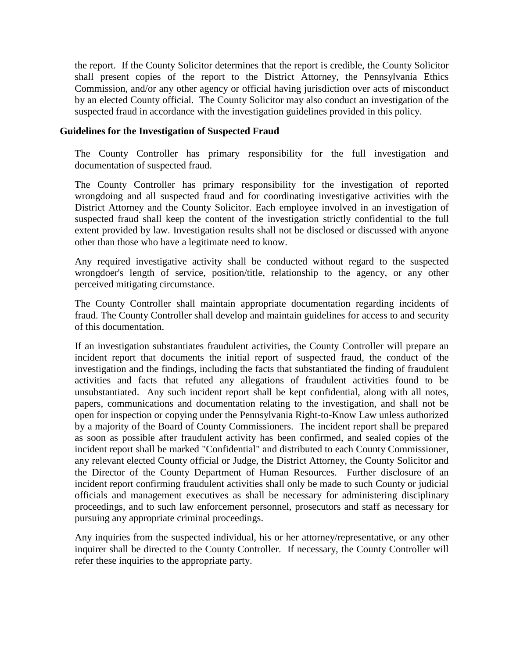the report. If the County Solicitor determines that the report is credible, the County Solicitor shall present copies of the report to the District Attorney, the Pennsylvania Ethics Commission, and/or any other agency or official having jurisdiction over acts of misconduct by an elected County official. The County Solicitor may also conduct an investigation of the suspected fraud in accordance with the investigation guidelines provided in this policy.

#### **Guidelines for the Investigation of Suspected Fraud**

The County Controller has primary responsibility for the full investigation and documentation of suspected fraud.

The County Controller has primary responsibility for the investigation of reported wrongdoing and all suspected fraud and for coordinating investigative activities with the District Attorney and the County Solicitor. Each employee involved in an investigation of suspected fraud shall keep the content of the investigation strictly confidential to the full extent provided by law. Investigation results shall not be disclosed or discussed with anyone other than those who have a legitimate need to know.

Any required investigative activity shall be conducted without regard to the suspected wrongdoer's length of service, position/title, relationship to the agency, or any other perceived mitigating circumstance.

The County Controller shall maintain appropriate documentation regarding incidents of fraud. The County Controller shall develop and maintain guidelines for access to and security of this documentation.

If an investigation substantiates fraudulent activities, the County Controller will prepare an incident report that documents the initial report of suspected fraud, the conduct of the investigation and the findings, including the facts that substantiated the finding of fraudulent activities and facts that refuted any allegations of fraudulent activities found to be unsubstantiated. Any such incident report shall be kept confidential, along with all notes, papers, communications and documentation relating to the investigation, and shall not be open for inspection or copying under the Pennsylvania Right-to-Know Law unless authorized by a majority of the Board of County Commissioners. The incident report shall be prepared as soon as possible after fraudulent activity has been confirmed, and sealed copies of the incident report shall be marked "Confidential" and distributed to each County Commissioner, any relevant elected County official or Judge, the District Attorney, the County Solicitor and the Director of the County Department of Human Resources. Further disclosure of an incident report confirming fraudulent activities shall only be made to such County or judicial officials and management executives as shall be necessary for administering disciplinary proceedings, and to such law enforcement personnel, prosecutors and staff as necessary for pursuing any appropriate criminal proceedings.

Any inquiries from the suspected individual, his or her attorney/representative, or any other inquirer shall be directed to the County Controller. If necessary, the County Controller will refer these inquiries to the appropriate party.